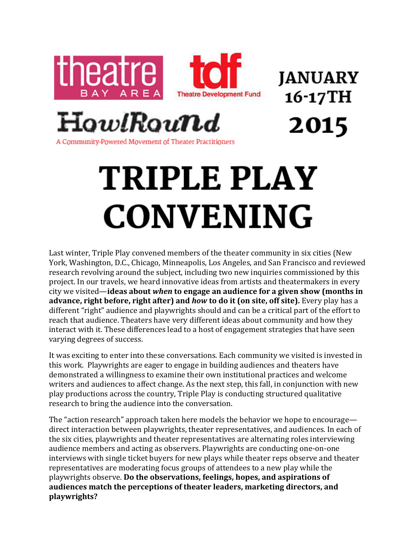

**JANUARY** 16-17TH 2015

A Community-Powered Movement of Theater Practitioners

## TRIPLE PLAY **CONVENING**

Last winter, Triple Play convened members of the theater community in six cities (New York, Washington, D.C., Chicago, Minneapolis, Los Angeles, and San Francisco and reviewed research revolving around the subject, including two new inquiries commissioned by this project. In our travels, we heard innovative ideas from artists and theatermakers in every city we visited—**ideas about** *when* **to engage an audience for a given show (months in advance, right before, right after) and** *how* **to do it (on site, off site).** Every play has a different "right" audience and playwrights should and can be a critical part of the effort to reach that audience. Theaters have very different ideas about community and how they interact with it. These differences lead to a host of engagement strategies that have seen varying degrees of success.

It was exciting to enter into these conversations. Each community we visited is invested in this work. Playwrights are eager to engage in building audiences and theaters have demonstrated a willingness to examine their own institutional practices and welcome writers and audiences to affect change. As the next step, this fall, in conjunction with new play productions across the country, Triple Play is conducting structured qualitative research to bring the audience into the conversation.

The "action research" approach taken here models the behavior we hope to encourage direct interaction between playwrights, theater representatives, and audiences. In each of the six cities, playwrights and theater representatives are alternating roles interviewing audience members and acting as observers. Playwrights are conducting one-on-one interviews with single ticket buyers for new plays while theater reps observe and theater representatives are moderating focus groups of attendees to a new play while the playwrights observe. Do the observations, feelings, hopes, and aspirations of audiences match the perceptions of theater leaders, marketing directors, and **playwrights?**